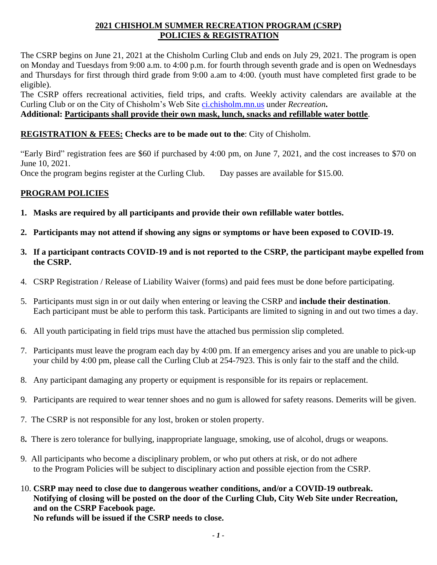### **2021 CHISHOLM SUMMER RECREATION PROGRAM (CSRP) POLICIES & REGISTRATION**

The CSRP begins on June 21, 2021 at the Chisholm Curling Club and ends on July 29, 2021. The program is open on Monday and Tuesdays from 9:00 a.m. to 4:00 p.m. for fourth through seventh grade and is open on Wednesdays and Thursdays for first through third grade from 9:00 a.am to 4:00. (youth must have completed first grade to be eligible).

The CSRP offers recreational activities, field trips, and crafts. Weekly activity calendars are available at the Curling Club or on the City of Chisholm's Web Site [ci.chisholm.mn.us](http://www.ci.chisholm.mn.us/) under *Recreation***.**

#### **Additional: Participants shall provide their own mask, lunch, snacks and refillable water bottle**.

#### **REGISTRATION & FEES: Checks are to be made out to the**: City of Chisholm.

"Early Bird" registration fees are \$60 if purchased by 4:00 pm, on June 7, 2021, and the cost increases to \$70 on June 10, 2021.

Once the program begins register at the Curling Club. Day passes are available for \$15.00.

#### **PROGRAM POLICIES**

- **1. Masks are required by all participants and provide their own refillable water bottles.**
- **2. Participants may not attend if showing any signs or symptoms or have been exposed to COVID-19.**
- **3. If a participant contracts COVID-19 and is not reported to the CSRP, the participant maybe expelled from the CSRP.**
- 4. CSRP Registration / Release of Liability Waiver (forms) and paid fees must be done before participating.
- 5. Participants must sign in or out daily when entering or leaving the CSRP and **include their destination**. Each participant must be able to perform this task. Participants are limited to signing in and out two times a day.
- 6. All youth participating in field trips must have the attached bus permission slip completed.
- 7. Participants must leave the program each day by 4:00 pm. If an emergency arises and you are unable to pick-up your child by 4:00 pm, please call the Curling Club at 254-7923. This is only fair to the staff and the child.
- 8. Any participant damaging any property or equipment is responsible for its repairs or replacement.
- 9. Participants are required to wear tenner shoes and no gum is allowed for safety reasons. Demerits will be given.
- 7. The CSRP is not responsible for any lost, broken or stolen property.
- 8**.** There is zero tolerance for bullying, inappropriate language, smoking, use of alcohol, drugs or weapons.
- 9. All participants who become a disciplinary problem, or who put others at risk, or do not adhere to the Program Policies will be subject to disciplinary action and possible ejection from the CSRP.
- 10. **CSRP may need to close due to dangerous weather conditions, and/or a COVID-19 outbreak. Notifying of closing will be posted on the door of the Curling Club, City Web Site under Recreation, and on the CSRP Facebook page.**

**No refunds will be issued if the CSRP needs to close.**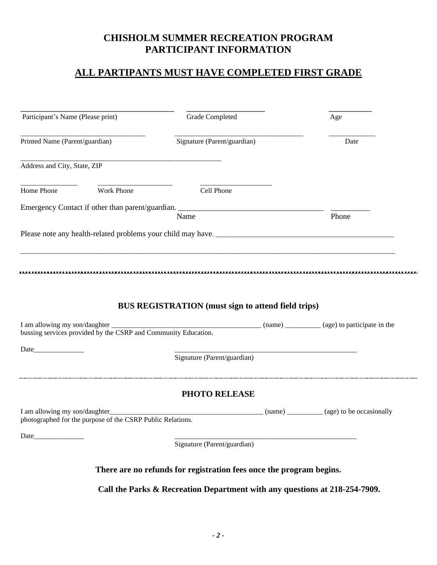# **CHISHOLM SUMMER RECREATION PROGRAM PARTICIPANT INFORMATION**

### **ALL PARTIPANTS MUST HAVE COMPLETED FIRST GRADE**

| Participant's Name (Please print)                                                                             |                                                            | Grade Completed                                                                                                      | Age                                                         |
|---------------------------------------------------------------------------------------------------------------|------------------------------------------------------------|----------------------------------------------------------------------------------------------------------------------|-------------------------------------------------------------|
| Printed Name (Parent/guardian)                                                                                |                                                            | Signature (Parent/guardian)                                                                                          | Date                                                        |
| Address and City, State, ZIP                                                                                  |                                                            |                                                                                                                      |                                                             |
| Home Phone                                                                                                    | Work Phone                                                 | Cell Phone                                                                                                           |                                                             |
|                                                                                                               |                                                            | Name                                                                                                                 | Phone                                                       |
|                                                                                                               |                                                            |                                                                                                                      |                                                             |
|                                                                                                               |                                                            |                                                                                                                      |                                                             |
|                                                                                                               |                                                            |                                                                                                                      |                                                             |
|                                                                                                               |                                                            | <b>BUS REGISTRATION</b> (must sign to attend field trips)                                                            |                                                             |
| I am allowing my son/daughter _____________<br>bussing services provided by the CSRP and Community Education. |                                                            |                                                                                                                      |                                                             |
| Date                                                                                                          |                                                            | Signature (Parent/guardian)                                                                                          | <u> 1980 - Johann Barbara, martxa al III-lea (h. 1980).</u> |
|                                                                                                               |                                                            | PHOTO RELEASE                                                                                                        |                                                             |
| I am allowing my son/daughter_                                                                                | photographed for the purpose of the CSRP Public Relations. | <u> 2002 - Jan James James James James James James James James James James James James James James James James J</u> | (name) __________ (age) to be occasionally                  |
| Date                                                                                                          |                                                            | Signature (Parent/guardian)                                                                                          |                                                             |
|                                                                                                               |                                                            | There are no refunds for registration fees once the program begins.                                                  |                                                             |
|                                                                                                               |                                                            | Call the Parks & Recreation Department with any questions at 218-254-7909.                                           |                                                             |
|                                                                                                               |                                                            |                                                                                                                      |                                                             |